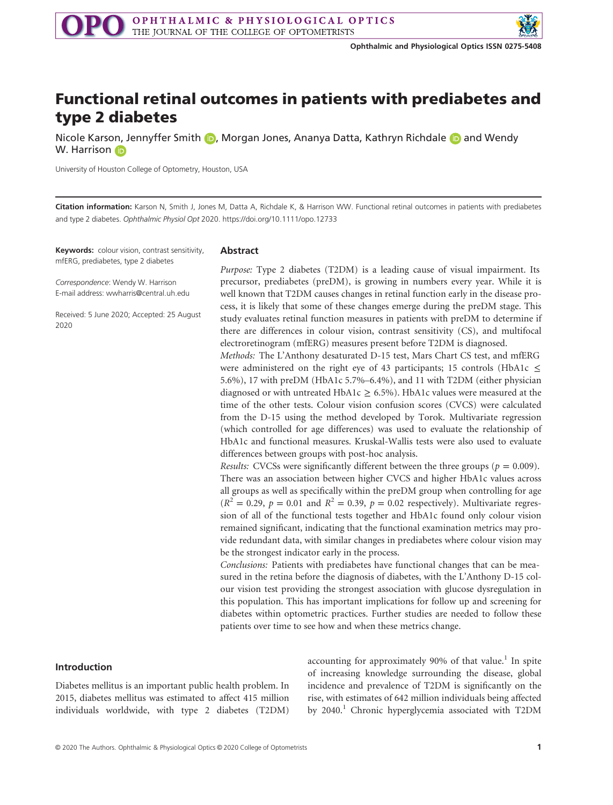

# Functional retinal outcomes in patients with prediabetes and type 2 diabetes

Nicole Karson, Jennyffer Smit[h](https://orcid.org/0000-0002-8451-6332) **D**, Morgan Jones, Ananya Datta, Kathryn Richdale **D** and Wendy W. Harriso[n](https://orcid.org/0000-0001-6174-0457)

University of Houston College of Optometry, Houston, USA

Citation information: Karson N, Smith J, Jones M, Datta A, Richdale K, & Harrison WW. Functional retinal outcomes in patients with prediabetes and type 2 diabetes. Ophthalmic Physiol Opt 2020.<https://doi.org/10.1111/opo.12733>

Keywords: colour vision, contrast sensitivity, mfERG, prediabetes, type 2 diabetes

Correspondence: Wendy W. Harrison E-mail address: [wwharris@central.uh.edu](mailto:)

Received: 5 June 2020; Accepted: 25 August 2020

### Abstract

Purpose: Type 2 diabetes (T2DM) is a leading cause of visual impairment. Its precursor, prediabetes (preDM), is growing in numbers every year. While it is well known that T2DM causes changes in retinal function early in the disease process, it is likely that some of these changes emerge during the preDM stage. This study evaluates retinal function measures in patients with preDM to determine if there are differences in colour vision, contrast sensitivity (CS), and multifocal electroretinogram (mfERG) measures present before T2DM is diagnosed.

Methods: The L'Anthony desaturated D-15 test, Mars Chart CS test, and mfERG were administered on the right eye of 43 participants; 15 controls (HbA1c  $\leq$ 5.6%), 17 with preDM (HbA1c 5.7%–6.4%), and 11 with T2DM (either physician diagnosed or with untreated HbA1c  $\geq$  6.5%). HbA1c values were measured at the time of the other tests. Colour vision confusion scores (CVCS) were calculated from the D-15 using the method developed by Torok. Multivariate regression (which controlled for age differences) was used to evaluate the relationship of HbA1c and functional measures. Kruskal-Wallis tests were also used to evaluate differences between groups with post-hoc analysis.

Results: CVCSs were significantly different between the three groups ( $p = 0.009$ ). There was an association between higher CVCS and higher HbA1c values across all groups as well as specifically within the preDM group when controlling for age  $(R^2 = 0.29, p = 0.01$  and  $R^2 = 0.39, p = 0.02$  respectively). Multivariate regression of all of the functional tests together and HbA1c found only colour vision remained significant, indicating that the functional examination metrics may provide redundant data, with similar changes in prediabetes where colour vision may be the strongest indicator early in the process.

Conclusions: Patients with prediabetes have functional changes that can be measured in the retina before the diagnosis of diabetes, with the L'Anthony D-15 colour vision test providing the strongest association with glucose dysregulation in this population. This has important implications for follow up and screening for diabetes within optometric practices. Further studies are needed to follow these patients over time to see how and when these metrics change.

#### Introduction

Diabetes mellitus is an important public health problem. In 2015, diabetes mellitus was estimated to affect 415 million individuals worldwide, with type 2 diabetes (T2DM) accounting for approximately 90% of that value.<sup>1</sup> In spite of increasing knowledge surrounding the disease, global incidence and prevalence of T2DM is significantly on the rise, with estimates of 642 million individuals being affected by 2040.<sup>1</sup> Chronic hyperglycemia associated with T2DM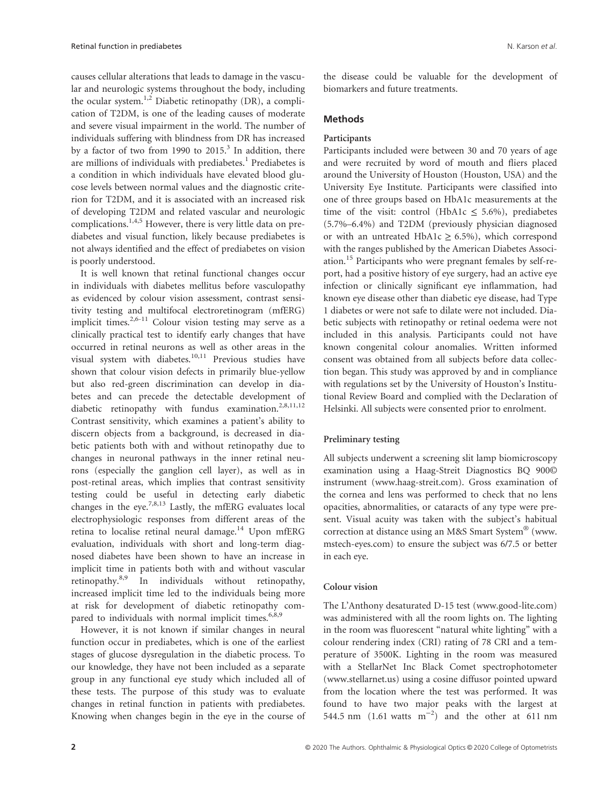causes cellular alterations that leads to damage in the vascular and neurologic systems throughout the body, including the ocular system.<sup>1,2</sup> Diabetic retinopathy (DR), a complication of T2DM, is one of the leading causes of moderate and severe visual impairment in the world. The number of individuals suffering with blindness from DR has increased by a factor of two from 1990 to  $2015<sup>3</sup>$  In addition, there are millions of individuals with prediabetes.<sup>1</sup> Prediabetes is a condition in which individuals have elevated blood glucose levels between normal values and the diagnostic criterion for T2DM, and it is associated with an increased risk of developing T2DM and related vascular and neurologic complications.1,4,5 However, there is very little data on prediabetes and visual function, likely because prediabetes is not always identified and the effect of prediabetes on vision is poorly understood.

It is well known that retinal functional changes occur in individuals with diabetes mellitus before vasculopathy as evidenced by colour vision assessment, contrast sensitivity testing and multifocal electroretinogram (mfERG) implicit times. $2,6-11$  Colour vision testing may serve as a clinically practical test to identify early changes that have occurred in retinal neurons as well as other areas in the visual system with diabetes.<sup>10,11</sup> Previous studies have shown that colour vision defects in primarily blue-yellow but also red-green discrimination can develop in diabetes and can precede the detectable development of diabetic retinopathy with fundus examination.<sup>2,8,11,12</sup> Contrast sensitivity, which examines a patient's ability to discern objects from a background, is decreased in diabetic patients both with and without retinopathy due to changes in neuronal pathways in the inner retinal neurons (especially the ganglion cell layer), as well as in post-retinal areas, which implies that contrast sensitivity testing could be useful in detecting early diabetic changes in the eye.7,8,13 Lastly, the mfERG evaluates local electrophysiologic responses from different areas of the retina to localise retinal neural damage.<sup>14</sup> Upon mfERG evaluation, individuals with short and long-term diagnosed diabetes have been shown to have an increase in implicit time in patients both with and without vascular retinopathy.8,9 In individuals without retinopathy, increased implicit time led to the individuals being more at risk for development of diabetic retinopathy compared to individuals with normal implicit times. $6,8,9$ 

However, it is not known if similar changes in neural function occur in prediabetes, which is one of the earliest stages of glucose dysregulation in the diabetic process. To our knowledge, they have not been included as a separate group in any functional eye study which included all of these tests. The purpose of this study was to evaluate changes in retinal function in patients with prediabetes. Knowing when changes begin in the eye in the course of the disease could be valuable for the development of biomarkers and future treatments.

# Methods

## Participants

Participants included were between 30 and 70 years of age and were recruited by word of mouth and fliers placed around the University of Houston (Houston, USA) and the University Eye Institute. Participants were classified into one of three groups based on HbA1c measurements at the time of the visit: control (HbA1c  $\leq$  5.6%), prediabetes (5.7%–6.4%) and T2DM (previously physician diagnosed or with an untreated HbA1c  $\geq$  6.5%), which correspond with the ranges published by the American Diabetes Association.15 Participants who were pregnant females by self-report, had a positive history of eye surgery, had an active eye infection or clinically significant eye inflammation, had known eye disease other than diabetic eye disease, had Type 1 diabetes or were not safe to dilate were not included. Diabetic subjects with retinopathy or retinal oedema were not included in this analysis. Participants could not have known congenital colour anomalies. Written informed consent was obtained from all subjects before data collection began. This study was approved by and in compliance with regulations set by the University of Houston's Institutional Review Board and complied with the Declaration of Helsinki. All subjects were consented prior to enrolment.

## Preliminary testing

All subjects underwent a screening slit lamp biomicroscopy examination using a Haag-Streit Diagnostics BQ 900© instrument ([www.haag-streit.com](http://www.haag-streit.com)). Gross examination of the cornea and lens was performed to check that no lens opacities, abnormalities, or cataracts of any type were present. Visual acuity was taken with the subject's habitual correction at distance using an M&S Smart System® ([www.](http://www.mstech-eyes.com) [mstech-eyes.com](http://www.mstech-eyes.com)) to ensure the subject was 6/7.5 or better in each eye.

## Colour vision

The L'Anthony desaturated D-15 test ([www.good-lite.com\)](http://www.good-lite.com) was administered with all the room lights on. The lighting in the room was fluorescent "natural white lighting" with a colour rendering index (CRI) rating of 78 CRI and a temperature of 3500K. Lighting in the room was measured with a StellarNet Inc Black Comet spectrophotometer ([www.stellarnet.us\)](http://www.stellarnet.us) using a cosine diffusor pointed upward from the location where the test was performed. It was found to have two major peaks with the largest at 544.5 nm  $(1.61 \text{ watts } m^{-2})$  and the other at 611 nm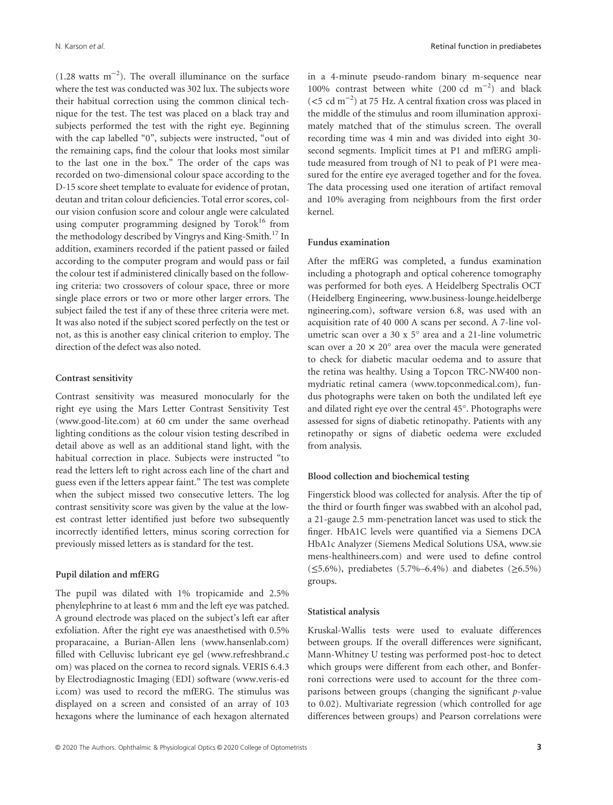(1.28 watts  $m^{-2}$ ). The overall illuminance on the surface where the test was conducted was 302 lux. The subjects wore their habitual correction using the common clinical technique for the test. The test was placed on a black tray and subjects performed the test with the right eye. Beginning with the cap labelled "0", subjects were instructed, "out of the remaining caps, find the colour that looks most similar to the last one in the box." The order of the caps was recorded on two-dimensional colour space according to the D-15 score sheet template to evaluate for evidence of protan, deutan and tritan colour deficiencies. Total error scores, colour vision confusion score and colour angle were calculated using computer programming designed by  $Torok<sup>16</sup>$  from the methodology described by Vingrys and King-Smith.<sup>17</sup> In addition, examiners recorded if the patient passed or failed according to the computer program and would pass or fail the colour test if administered clinically based on the following criteria: two crossovers of colour space, three or more single place errors or two or more other larger errors. The subject failed the test if any of these three criteria were met. It was also noted if the subject scored perfectly on the test or not, as this is another easy clinical criterion to employ. The direction of the defect was also noted.

#### Contrast sensitivity

Contrast sensitivity was measured monocularly for the right eye using the Mars Letter Contrast Sensitivity Test [\(www.good-lite.com](http://www.good-lite.com)) at 60 cm under the same overhead lighting conditions as the colour vision testing described in detail above as well as an additional stand light, with the habitual correction in place. Subjects were instructed "to read the letters left to right across each line of the chart and guess even if the letters appear faint." The test was complete when the subject missed two consecutive letters. The log contrast sensitivity score was given by the value at the lowest contrast letter identified just before two subsequently incorrectly identified letters, minus scoring correction for previously missed letters as is standard for the test.

## Pupil dilation and mfERG

The pupil was dilated with 1% tropicamide and 2.5% phenylephrine to at least 6 mm and the left eye was patched. A ground electrode was placed on the subject's left ear after exfoliation. After the right eye was anaesthetised with 0.5% proparacaine, a Burian-Allen lens [\(www.hansenlab.com\)](http://www.hansenlab.com) filled with Celluvisc lubricant eye gel ([www.refreshbrand.c](http://www.refreshbrand.com) [om\)](http://www.refreshbrand.com) was placed on the cornea to record signals. VERIS 6.4.3 by Electrodiagnostic Imaging (EDI) software [\(www.veris-ed](http://www.veris-edi.com) [i.com](http://www.veris-edi.com)) was used to record the mfERG. The stimulus was displayed on a screen and consisted of an array of 103 hexagons where the luminance of each hexagon alternated

in a 4-minute pseudo-random binary m-sequence near 100% contrast between white (200 cd m−<sup>2</sup> ) and black (<5 cd m−<sup>2</sup> ) at 75 Hz. A central fixation cross was placed in the middle of the stimulus and room illumination approximately matched that of the stimulus screen. The overall recording time was 4 min and was divided into eight 30 second segments. Implicit times at P1 and mfERG amplitude measured from trough of N1 to peak of P1 were measured for the entire eye averaged together and for the fovea. The data processing used one iteration of artifact removal and 10% averaging from neighbours from the first order kernel.

# Fundus examination

After the mfERG was completed, a fundus examination including a photograph and optical coherence tomography was performed for both eyes. A Heidelberg Spectralis OCT (Heidelberg Engineering, [www.business-lounge.heidelberge](http://www.business-lounge.heidelbergengineering.com) [ngineering.com](http://www.business-lounge.heidelbergengineering.com)), software version 6.8, was used with an acquisition rate of 40 000 A scans per second. A 7-line volumetric scan over a 30 x 5° area and a 21-line volumetric scan over a  $20 \times 20^{\circ}$  area over the macula were generated to check for diabetic macular oedema and to assure that the retina was healthy. Using a Topcon TRC-NW400 nonmydriatic retinal camera ([www.topconmedical.com\)](http://www.topconmedical.com), fundus photographs were taken on both the undilated left eye and dilated right eye over the central 45°. Photographs were assessed for signs of diabetic retinopathy. Patients with any retinopathy or signs of diabetic oedema were excluded from analysis.

#### Blood collection and biochemical testing

Fingerstick blood was collected for analysis. After the tip of the third or fourth finger was swabbed with an alcohol pad, a 21-gauge 2.5 mm-penetration lancet was used to stick the finger. HbA1C levels were quantified via a Siemens DCA HbA1c Analyzer (Siemens Medical Solutions USA, [www.sie](http://www.siemens-healthineers.com) [mens-healthineers.com](http://www.siemens-healthineers.com)) and were used to define control (≤5.6%), prediabetes (5.7%–6.4%) and diabetes (≥6.5%) groups.

#### Statistical analysis

Kruskal-Wallis tests were used to evaluate differences between groups. If the overall differences were significant, Mann-Whitney U testing was performed post-hoc to detect which groups were different from each other, and Bonferroni corrections were used to account for the three comparisons between groups (changing the significant p-value to 0.02). Multivariate regression (which controlled for age differences between groups) and Pearson correlations were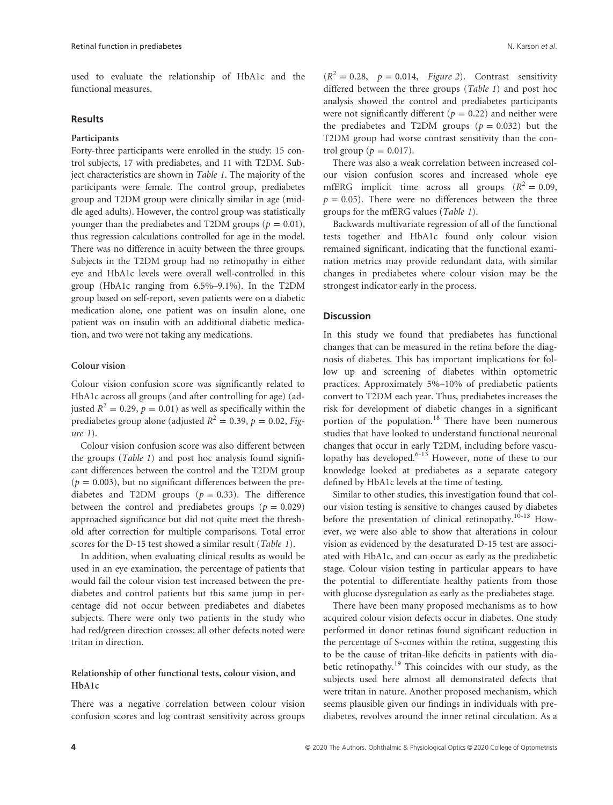used to evaluate the relationship of HbA1c and the functional measures.

## **Results**

## Participants

Forty-three participants were enrolled in the study: 15 control subjects, 17 with prediabetes, and 11 with T2DM. Subject characteristics are shown in Table 1. The majority of the participants were female. The control group, prediabetes group and T2DM group were clinically similar in age (middle aged adults). However, the control group was statistically younger than the prediabetes and T2DM groups ( $p = 0.01$ ), thus regression calculations controlled for age in the model. There was no difference in acuity between the three groups. Subjects in the T2DM group had no retinopathy in either eye and HbA1c levels were overall well-controlled in this group (HbA1c ranging from 6.5%–9.1%). In the T2DM group based on self-report, seven patients were on a diabetic medication alone, one patient was on insulin alone, one patient was on insulin with an additional diabetic medication, and two were not taking any medications.

## Colour vision

Colour vision confusion score was significantly related to HbA1c across all groups (and after controlling for age) (adjusted  $R^2 = 0.29$ ,  $p = 0.01$ ) as well as specifically within the prediabetes group alone (adjusted  $R^2 = 0.39$ ,  $p = 0.02$ , Figure 1).

Colour vision confusion score was also different between the groups (Table 1) and post hoc analysis found significant differences between the control and the T2DM group  $(p = 0.003)$ , but no significant differences between the prediabetes and T2DM groups  $(p = 0.33)$ . The difference between the control and prediabetes groups ( $p = 0.029$ ) approached significance but did not quite meet the threshold after correction for multiple comparisons. Total error scores for the D-15 test showed a similar result (*Table 1*).

In addition, when evaluating clinical results as would be used in an eye examination, the percentage of patients that would fail the colour vision test increased between the prediabetes and control patients but this same jump in percentage did not occur between prediabetes and diabetes subjects. There were only two patients in the study who had red/green direction crosses; all other defects noted were tritan in direction.

# Relationship of other functional tests, colour vision, and HbA1c

There was a negative correlation between colour vision confusion scores and log contrast sensitivity across groups  $(R^2 = 0.28, p = 0.014, Figure 2)$ . Contrast sensitivity differed between the three groups (Table 1) and post hoc analysis showed the control and prediabetes participants were not significantly different ( $p = 0.22$ ) and neither were the prediabetes and T2DM groups ( $p = 0.032$ ) but the T2DM group had worse contrast sensitivity than the control group ( $p = 0.017$ ).

There was also a weak correlation between increased colour vision confusion scores and increased whole eye mfERG implicit time across all groups  $(R^2 = 0.09,$  $p = 0.05$ ). There were no differences between the three groups for the mfERG values (Table 1).

Backwards multivariate regression of all of the functional tests together and HbA1c found only colour vision remained significant, indicating that the functional examination metrics may provide redundant data, with similar changes in prediabetes where colour vision may be the strongest indicator early in the process.

## Discussion

In this study we found that prediabetes has functional changes that can be measured in the retina before the diagnosis of diabetes. This has important implications for follow up and screening of diabetes within optometric practices. Approximately 5%–10% of prediabetic patients convert to T2DM each year. Thus, prediabetes increases the risk for development of diabetic changes in a significant portion of the population.<sup>18</sup> There have been numerous studies that have looked to understand functional neuronal changes that occur in early T2DM, including before vasculopathy has developed.<sup>6-13</sup> However, none of these to our knowledge looked at prediabetes as a separate category defined by HbA1c levels at the time of testing.

Similar to other studies, this investigation found that colour vision testing is sensitive to changes caused by diabetes before the presentation of clinical retinopathy.10-13 However, we were also able to show that alterations in colour vision as evidenced by the desaturated D-15 test are associated with HbA1c, and can occur as early as the prediabetic stage. Colour vision testing in particular appears to have the potential to differentiate healthy patients from those with glucose dysregulation as early as the prediabetes stage.

There have been many proposed mechanisms as to how acquired colour vision defects occur in diabetes. One study performed in donor retinas found significant reduction in the percentage of S-cones within the retina, suggesting this to be the cause of tritan-like deficits in patients with diabetic retinopathy.<sup>19</sup> This coincides with our study, as the subjects used here almost all demonstrated defects that were tritan in nature. Another proposed mechanism, which seems plausible given our findings in individuals with prediabetes, revolves around the inner retinal circulation. As a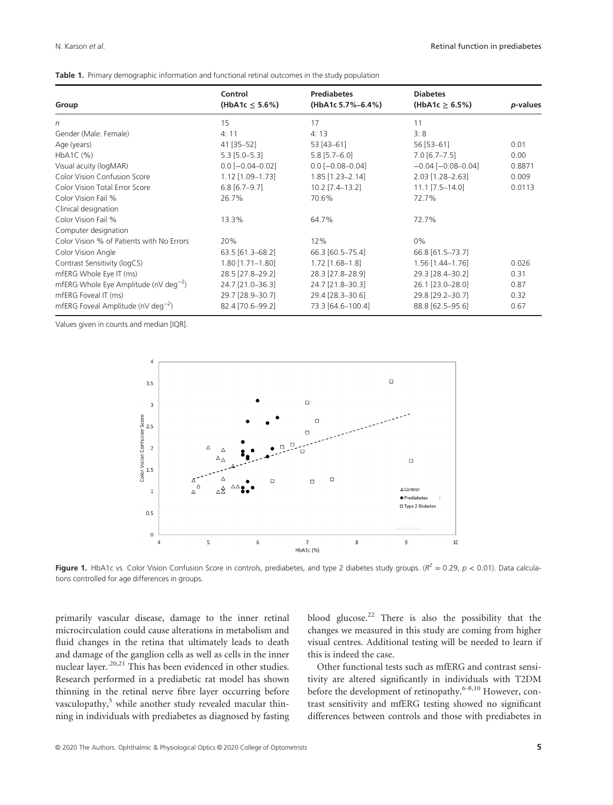| Group                                             | Control<br>(HbA1c $\leq$ 5.6%) | <b>Prediabetes</b><br>(HbA1c 5.7%-6.4%) | <b>Diabetes</b><br>(HbA1c $\geq$ 6.5%) | p-values |
|---------------------------------------------------|--------------------------------|-----------------------------------------|----------------------------------------|----------|
|                                                   |                                |                                         |                                        |          |
| Gender (Male: Female)                             | 4:11                           | 4:13                                    | 3:8                                    |          |
| Age (years)                                       | 41 [35-52]                     | 53 [43-61]                              | 56 [53-61]                             | 0.01     |
| HbA1C (%)                                         | $5.3$ [5.0-5.3]                | $5.8$ [5.7-6.0]                         | $7.0$ [6.7-7.5]                        | 0.00     |
| Visual acuity (logMAR)                            | $0.0[-0.04 - 0.02]$            | $0.0$ [-0.08-0.04]                      | $-0.04$ [ $-0.08-0.04$ ]               | 0.8871   |
| Color Vision Confusion Score                      | $1.12$ [1.09-1.73]             | $1.85$ [1.23-2.14]                      | 2.03 [1.28-2.63]                       | 0.009    |
| Color Vision Total Error Score                    | $6.8$ [6.7-9.7]                | $10.2$ [7.4-13.2]                       | $11.1$ [7.5-14.0]                      | 0.0113   |
| Color Vision Fail %                               | 26.7%                          | 70.6%                                   | 72.7%                                  |          |
| Clinical designation                              |                                |                                         |                                        |          |
| Color Vision Fail %                               | 13.3%                          | 64.7%                                   | 72.7%                                  |          |
| Computer designation                              |                                |                                         |                                        |          |
| Color Vision % of Patients with No Errors         | 20%                            | 12%                                     | $0\%$                                  |          |
| Color Vision Angle                                | 63.5 [61.3-68.2]               | 66.3 [60.5-75.4]                        | 66.8 [61.5-73.7]                       |          |
| Contrast Sensitivity (logCS)                      | 1.80 [1.71-1.80]               | $1.72$ [1.68-1.8]                       | $1.56$ [1.44-1.76]                     | 0.026    |
| mfERG Whole Eye IT (ms)                           | 28.5 [27.8-29.2]               | 28.3 [27.8-28.9]                        | 29.3 [28.4-30.2]                       | 0.31     |
| mfERG Whole Eye Amplitude (nV deg <sup>-2</sup> ) | 24.7 [21.0-36.3]               | 24.7 [21.8-30.3]                        | 26.1 [23.0-28.0]                       | 0.87     |
| mfERG Foveal IT (ms)                              | 29.7 [28.9-30.7]               | 29.4 [28.3-30.6]                        | 29.8 [29.2-30.7]                       | 0.32     |
| mfERG Foveal Amplitude (nV deg <sup>-2</sup> )    | 82.4 [70.6-99.2]               | 73.3 [64.6-100.4]                       | 88.8 [62.5-95.6]                       | 0.67     |

Values given in counts and median [IQR].



Figure 1. HbA1c vs. Color Vision Confusion Score in controls, prediabetes, and type 2 diabetes study groups. ( $R^2 = 0.29$ ,  $p < 0.01$ ). Data calculations controlled for age differences in groups.

primarily vascular disease, damage to the inner retinal microcirculation could cause alterations in metabolism and fluid changes in the retina that ultimately leads to death and damage of the ganglion cells as well as cells in the inner nuclear layer.<sup>20,21</sup> This has been evidenced in other studies. Research performed in a prediabetic rat model has shown thinning in the retinal nerve fibre layer occurring before vasculopathy,<sup>5</sup> while another study revealed macular thinning in individuals with prediabetes as diagnosed by fasting blood glucose.<sup>22</sup> There is also the possibility that the changes we measured in this study are coming from higher visual centres. Additional testing will be needed to learn if this is indeed the case.

Other functional tests such as mfERG and contrast sensitivity are altered significantly in individuals with T2DM before the development of retinopathy.<sup>6-8,10</sup> However, contrast sensitivity and mfERG testing showed no significant differences between controls and those with prediabetes in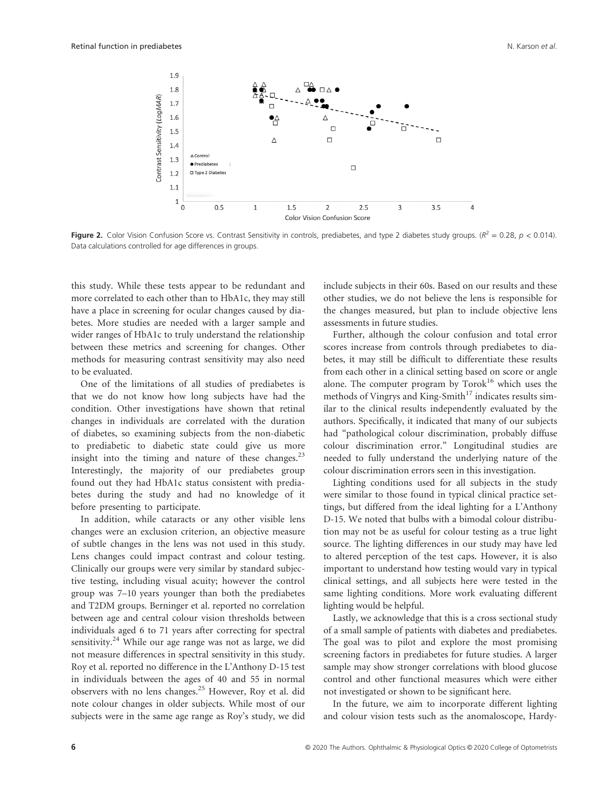

Figure 2. Color Vision Confusion Score vs. Contrast Sensitivity in controls, prediabetes, and type 2 diabetes study groups. ( $R^2 = 0.28$ ,  $p < 0.014$ ). Data calculations controlled for age differences in groups.

this study. While these tests appear to be redundant and more correlated to each other than to HbA1c, they may still have a place in screening for ocular changes caused by diabetes. More studies are needed with a larger sample and wider ranges of HbA1c to truly understand the relationship between these metrics and screening for changes. Other methods for measuring contrast sensitivity may also need to be evaluated.

One of the limitations of all studies of prediabetes is that we do not know how long subjects have had the condition. Other investigations have shown that retinal changes in individuals are correlated with the duration of diabetes, so examining subjects from the non-diabetic to prediabetic to diabetic state could give us more insight into the timing and nature of these changes. $^{23}$ Interestingly, the majority of our prediabetes group found out they had HbA1c status consistent with prediabetes during the study and had no knowledge of it before presenting to participate.

In addition, while cataracts or any other visible lens changes were an exclusion criterion, an objective measure of subtle changes in the lens was not used in this study. Lens changes could impact contrast and colour testing. Clinically our groups were very similar by standard subjective testing, including visual acuity; however the control group was 7–10 years younger than both the prediabetes and T2DM groups. Berninger et al. reported no correlation between age and central colour vision thresholds between individuals aged 6 to 71 years after correcting for spectral sensitivity. $24$  While our age range was not as large, we did not measure differences in spectral sensitivity in this study. Roy et al. reported no difference in the L'Anthony D-15 test in individuals between the ages of 40 and 55 in normal observers with no lens changes.25 However, Roy et al. did note colour changes in older subjects. While most of our subjects were in the same age range as Roy's study, we did

include subjects in their 60s. Based on our results and these other studies, we do not believe the lens is responsible for the changes measured, but plan to include objective lens assessments in future studies.

Further, although the colour confusion and total error scores increase from controls through prediabetes to diabetes, it may still be difficult to differentiate these results from each other in a clinical setting based on score or angle alone. The computer program by  $Torok<sup>16</sup>$  which uses the methods of Vingrys and King-Smith $17$  indicates results similar to the clinical results independently evaluated by the authors. Specifically, it indicated that many of our subjects had "pathological colour discrimination, probably diffuse colour discrimination error." Longitudinal studies are needed to fully understand the underlying nature of the colour discrimination errors seen in this investigation.

Lighting conditions used for all subjects in the study were similar to those found in typical clinical practice settings, but differed from the ideal lighting for a L'Anthony D-15. We noted that bulbs with a bimodal colour distribution may not be as useful for colour testing as a true light source. The lighting differences in our study may have led to altered perception of the test caps. However, it is also important to understand how testing would vary in typical clinical settings, and all subjects here were tested in the same lighting conditions. More work evaluating different lighting would be helpful.

Lastly, we acknowledge that this is a cross sectional study of a small sample of patients with diabetes and prediabetes. The goal was to pilot and explore the most promising screening factors in prediabetes for future studies. A larger sample may show stronger correlations with blood glucose control and other functional measures which were either not investigated or shown to be significant here.

In the future, we aim to incorporate different lighting and colour vision tests such as the anomaloscope, Hardy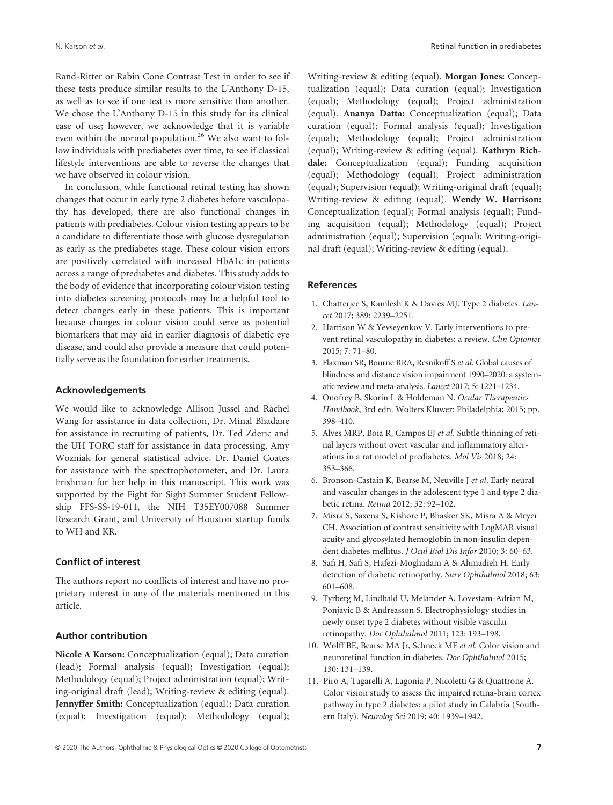Rand-Ritter or Rabin Cone Contrast Test in order to see if these tests produce similar results to the L'Anthony D-15, as well as to see if one test is more sensitive than another. We chose the L'Anthony D-15 in this study for its clinical ease of use; however, we acknowledge that it is variable even within the normal population.<sup>26</sup> We also want to follow individuals with prediabetes over time, to see if classical lifestyle interventions are able to reverse the changes that we have observed in colour vision.

In conclusion, while functional retinal testing has shown changes that occur in early type 2 diabetes before vasculopathy has developed, there are also functional changes in patients with prediabetes. Colour vision testing appears to be a candidate to differentiate those with glucose dysregulation as early as the prediabetes stage. These colour vision errors are positively correlated with increased HbA1c in patients across a range of prediabetes and diabetes. This study adds to the body of evidence that incorporating colour vision testing into diabetes screening protocols may be a helpful tool to detect changes early in these patients. This is important because changes in colour vision could serve as potential biomarkers that may aid in earlier diagnosis of diabetic eye disease, and could also provide a measure that could potentially serve as the foundation for earlier treatments.

## Acknowledgements

We would like to acknowledge Allison Jussel and Rachel Wang for assistance in data collection, Dr. Minal Bhadane for assistance in recruiting of patients, Dr. Ted Zderic and the UH TORC staff for assistance in data processing, Amy Wozniak for general statistical advice, Dr. Daniel Coates for assistance with the spectrophotometer, and Dr. Laura Frishman for her help in this manuscript. This work was supported by the Fight for Sight Summer Student Fellowship FFS-SS-19-011, the NIH T35EY007088 Summer Research Grant, and University of Houston startup funds to WH and KR.

# Conflict of interest

The authors report no conflicts of interest and have no proprietary interest in any of the materials mentioned in this article.

# Author contribution

Nicole A Karson: Conceptualization (equal); Data curation (lead); Formal analysis (equal); Investigation (equal); Methodology (equal); Project administration (equal); Writing-original draft (lead); Writing-review & editing (equal). Jennyffer Smith: Conceptualization (equal); Data curation (equal); Investigation (equal); Methodology (equal);

Writing-review & editing (equal). Morgan Jones: Conceptualization (equal); Data curation (equal); Investigation (equal); Methodology (equal); Project administration (equal). Ananya Datta: Conceptualization (equal); Data curation (equal); Formal analysis (equal); Investigation (equal); Methodology (equal); Project administration (equal); Writing-review & editing (equal). Kathryn Richdale: Conceptualization (equal); Funding acquisition (equal); Methodology (equal); Project administration (equal); Supervision (equal); Writing-original draft (equal); Writing-review & editing (equal). Wendy W. Harrison: Conceptualization (equal); Formal analysis (equal); Funding acquisition (equal); Methodology (equal); Project administration (equal); Supervision (equal); Writing-original draft (equal); Writing-review & editing (equal).

## References

- 1. Chatterjee S, Kamlesh K & Davies MJ. Type 2 diabetes. Lancet 2017; 389: 2239–2251.
- 2. Harrison W & Yevseyenkov V. Early interventions to prevent retinal vasculopathy in diabetes: a review. Clin Optomet 2015; 7: 71–80.
- 3. Flaxman SR, Bourne RRA, Resnikoff S et al. Global causes of blindness and distance vision impairment 1990–2020: a systematic review and meta-analysis. Lancet 2017; 5: 1221–1234.
- 4. Onofrey B, Skorin L & Holdeman N. Ocular Therapeutics Handbook, 3rd edn. Wolters Kluwer: Philadelphia; 2015; pp. 398–410.
- 5. Alves MRP, Boia R, Campos EJ et al. Subtle thinning of retinal layers without overt vascular and inflammatory alterations in a rat model of prediabetes. Mol Vis 2018; 24: 353–366.
- 6. Bronson-Castain K, Bearse M, Neuville J et al. Early neural and vascular changes in the adolescent type 1 and type 2 diabetic retina. Retina 2012; 32: 92–102.
- 7. Misra S, Saxena S, Kishore P, Bhasker SK, Misra A & Meyer CH. Association of contrast sensitivity with LogMAR visual acuity and glycosylated hemoglobin in non-insulin dependent diabetes mellitus. J Ocul Biol Dis Infor 2010; 3: 60–63.
- 8. Safi H, Safi S, Hafezi-Moghadam A & Ahmadieh H. Early detection of diabetic retinopathy. Surv Ophthalmol 2018; 63: 601–608.
- 9. Tyrberg M, Lindbald U, Melander A, Lovestam-Adrian M, Ponjavic B & Andreasson S. Electrophysiology studies in newly onset type 2 diabetes without visible vascular retinopathy. Doc Ophthalmol 2011; 123: 193–198.
- 10. Wolff BE, Bearse MA Jr, Schneck ME et al. Color vision and neuroretinal function in diabetes. Doc Ophthalmol 2015; 130: 131–139.
- 11. Piro A, Tagarelli A, Lagonia P, Nicoletti G & Quattrone A. Color vision study to assess the impaired retina-brain cortex pathway in type 2 diabetes: a pilot study in Calabria (Southern Italy). Neurolog Sci 2019; 40: 1939–1942.